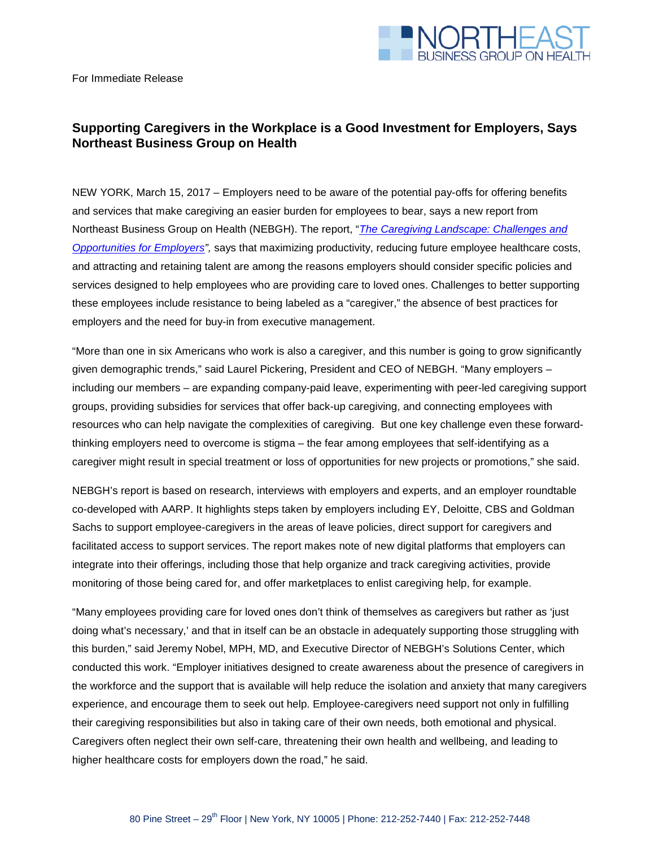

## **Supporting Caregivers in the Workplace is a Good Investment for Employers, Says Northeast Business Group on Health**

NEW YORK, March 15, 2017 – Employers need to be aware of the potential pay-offs for offering benefits and services that make caregiving an easier burden for employees to bear, says a new report from Northeast Business Group on Health (NEBGH). The report, "*[The Caregiving Landscape: Challenges and](http://nebgh.org/wp-content/uploads/2017/03/NEBGH-CaregivingLandscape-FINAL-web.pdf)  [Opportunities for](http://nebgh.org/wp-content/uploads/2017/03/NEBGH-CaregivingLandscape-FINAL-web.pdf) Employers",* says that maximizing productivity, reducing future employee healthcare costs, and attracting and retaining talent are among the reasons employers should consider specific policies and services designed to help employees who are providing care to loved ones. Challenges to better supporting these employees include resistance to being labeled as a "caregiver," the absence of best practices for employers and the need for buy-in from executive management.

"More than one in six Americans who work is also a caregiver, and this number is going to grow significantly given demographic trends," said Laurel Pickering, President and CEO of NEBGH. "Many employers – including our members – are expanding company-paid leave, experimenting with peer-led caregiving support groups, providing subsidies for services that offer back-up caregiving, and connecting employees with resources who can help navigate the complexities of caregiving. But one key challenge even these forwardthinking employers need to overcome is stigma – the fear among employees that self-identifying as a caregiver might result in special treatment or loss of opportunities for new projects or promotions," she said.

NEBGH's report is based on research, interviews with employers and experts, and an employer roundtable co-developed with AARP. It highlights steps taken by employers including EY, Deloitte, CBS and Goldman Sachs to support employee-caregivers in the areas of leave policies, direct support for caregivers and facilitated access to support services. The report makes note of new digital platforms that employers can integrate into their offerings, including those that help organize and track caregiving activities, provide monitoring of those being cared for, and offer marketplaces to enlist caregiving help, for example.

"Many employees providing care for loved ones don't think of themselves as caregivers but rather as 'just doing what's necessary,' and that in itself can be an obstacle in adequately supporting those struggling with this burden," said Jeremy Nobel, MPH, MD, and Executive Director of NEBGH's Solutions Center, which conducted this work. "Employer initiatives designed to create awareness about the presence of caregivers in the workforce and the support that is available will help reduce the isolation and anxiety that many caregivers experience, and encourage them to seek out help. Employee-caregivers need support not only in fulfilling their caregiving responsibilities but also in taking care of their own needs, both emotional and physical. Caregivers often neglect their own self-care, threatening their own health and wellbeing, and leading to higher healthcare costs for employers down the road," he said.